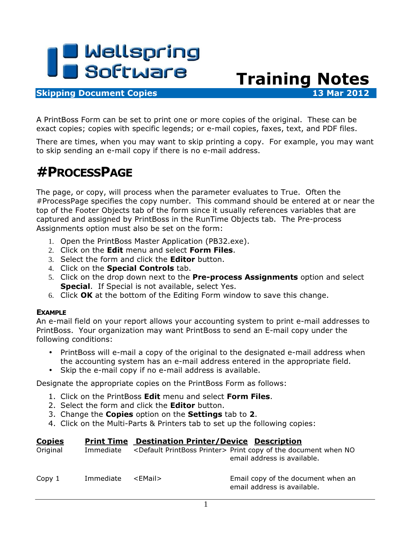

## **Skipping Document Copies 13 Mar 2012**

A PrintBoss Form can be set to print one or more copies of the original. These can be exact copies; copies with specific legends; or e-mail copies, faxes, text, and PDF files.

There are times, when you may want to skip printing a copy. For example, you may want to skip sending an e-mail copy if there is no e-mail address.

Training Notes

## #PROCESSPAGE

The page, or copy, will process when the parameter evaluates to True. Often the #ProcessPage specifies the copy number. This command should be entered at or near the top of the Footer Objects tab of the form since it usually references variables that are captured and assigned by PrintBoss in the RunTime Objects tab. The Pre-process Assignments option must also be set on the form:

- 1. Open the PrintBoss Master Application (PB32.exe).
- 2. Click on the **Edit** menu and select **Form Files.**
- 3. Select the form and click the **Editor** button.
- 4. Click on the **Special Controls** tab.
- 5. Click on the drop down next to the Pre-process Assignments option and select **Special.** If Special is not available, select Yes.
- 6. Click OK at the bottom of the Editing Form window to save this change.

## EXAMPLE

An e-mail field on your report allows your accounting system to print e-mail addresses to PrintBoss. Your organization may want PrintBoss to send an E-mail copy under the following conditions:

- PrintBoss will e-mail a copy of the original to the designated e-mail address when the accounting system has an e-mail address entered in the appropriate field.
- Skip the e-mail copy if no e-mail address is available.

Designate the appropriate copies on the PrintBoss Form as follows:

- 1. Click on the PrintBoss **Edit** menu and select **Form Files.**
- 2. Select the form and click the **Editor** button.
- 3. Change the **Copies** option on the **Settings** tab to 2.
- 4. Click on the Multi-Parts & Printers tab to set up the following copies:

| <b>Copies</b> |           | <b>Print Time Destination Printer/Device Description</b> |                                                                                                                |
|---------------|-----------|----------------------------------------------------------|----------------------------------------------------------------------------------------------------------------|
| Original      | Immediate |                                                          | <default printboss="" printer=""> Print copy of the document when NO<br/>email address is available.</default> |
| Copy 1        | Immediate | <email></email>                                          | Email copy of the document when an<br>email address is available.                                              |